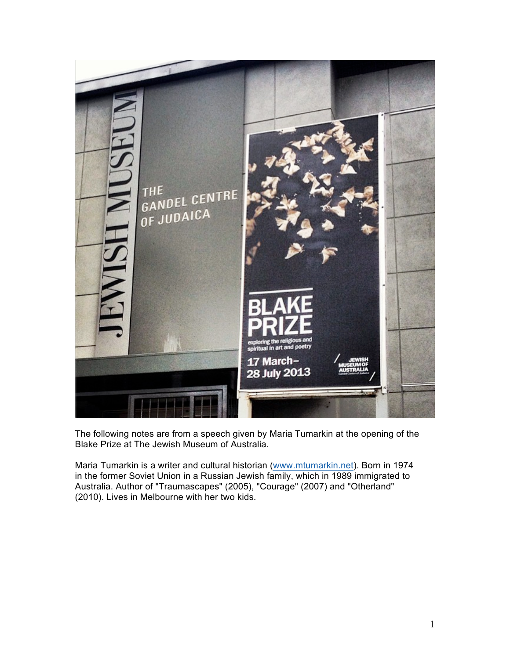

The following notes are from a speech given by Maria Tumarkin at the opening of the Blake Prize at The Jewish Museum of Australia.

Maria Tumarkin is a writer and cultural historian (www.mtumarkin.net). Born in 1974 in the former Soviet Union in a Russian Jewish family, which in 1989 immigrated to Australia. Author of "Traumascapes" (2005), "Courage" (2007) and "Otherland" (2010). Lives in Melbourne with her two kids.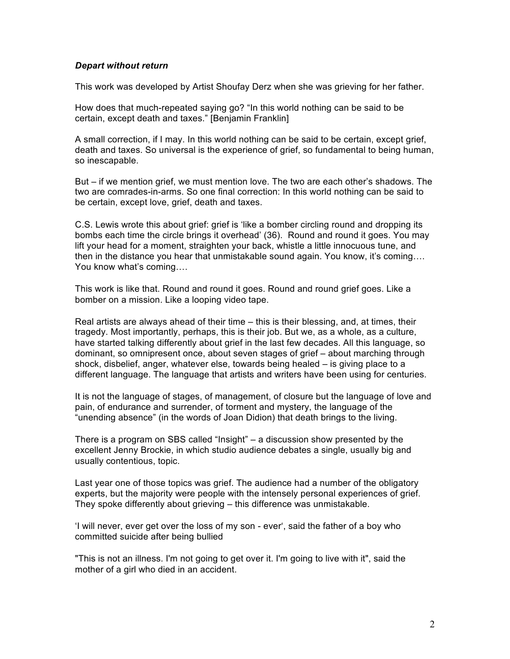## *Depart without return*

This work was developed by Artist Shoufay Derz when she was grieving for her father.

How does that much-repeated saying go? "In this world nothing can be said to be certain, except death and taxes." [Benjamin Franklin]

A small correction, if I may. In this world nothing can be said to be certain, except grief, death and taxes. So universal is the experience of grief, so fundamental to being human, so inescapable.

But – if we mention grief, we must mention love. The two are each other's shadows. The two are comrades-in-arms. So one final correction: In this world nothing can be said to be certain, except love, grief, death and taxes.

C.S. Lewis wrote this about grief: grief is 'like a bomber circling round and dropping its bombs each time the circle brings it overhead' (36). Round and round it goes. You may lift your head for a moment, straighten your back, whistle a little innocuous tune, and then in the distance you hear that unmistakable sound again. You know, it's coming…. You know what's coming….

This work is like that. Round and round it goes. Round and round grief goes. Like a bomber on a mission. Like a looping video tape.

Real artists are always ahead of their time – this is their blessing, and, at times, their tragedy. Most importantly, perhaps, this is their job. But we, as a whole, as a culture, have started talking differently about grief in the last few decades. All this language, so dominant, so omnipresent once, about seven stages of grief – about marching through shock, disbelief, anger, whatever else, towards being healed – is giving place to a different language. The language that artists and writers have been using for centuries.

It is not the language of stages, of management, of closure but the language of love and pain, of endurance and surrender, of torment and mystery, the language of the "unending absence" (in the words of Joan Didion) that death brings to the living.

There is a program on SBS called "Insight" – a discussion show presented by the excellent Jenny Brockie, in which studio audience debates a single, usually big and usually contentious, topic.

Last year one of those topics was grief. The audience had a number of the obligatory experts, but the majority were people with the intensely personal experiences of grief. They spoke differently about grieving – this difference was unmistakable.

'I will never, ever get over the loss of my son - ever', said the father of a boy who committed suicide after being bullied

"This is not an illness. I'm not going to get over it. I'm going to live with it", said the mother of a girl who died in an accident.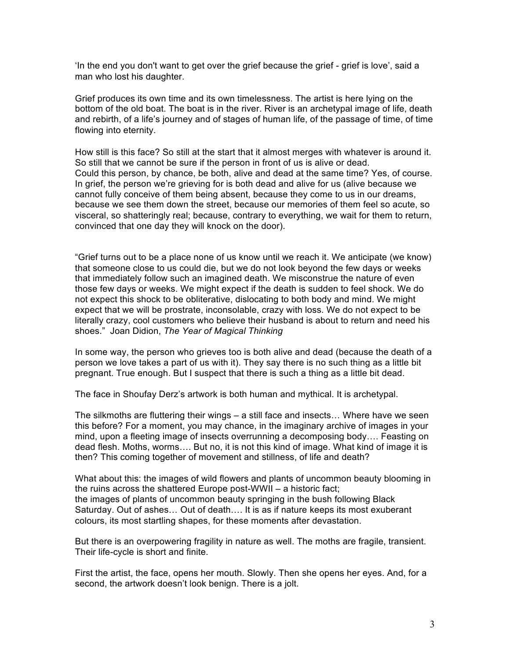'In the end you don't want to get over the grief because the grief - grief is love', said a man who lost his daughter.

Grief produces its own time and its own timelessness. The artist is here lying on the bottom of the old boat. The boat is in the river. River is an archetypal image of life, death and rebirth, of a life's journey and of stages of human life, of the passage of time, of time flowing into eternity.

How still is this face? So still at the start that it almost merges with whatever is around it. So still that we cannot be sure if the person in front of us is alive or dead. Could this person, by chance, be both, alive and dead at the same time? Yes, of course. In grief, the person we're grieving for is both dead and alive for us (alive because we cannot fully conceive of them being absent, because they come to us in our dreams, because we see them down the street, because our memories of them feel so acute, so visceral, so shatteringly real; because, contrary to everything, we wait for them to return, convinced that one day they will knock on the door).

"Grief turns out to be a place none of us know until we reach it. We anticipate (we know) that someone close to us could die, but we do not look beyond the few days or weeks that immediately follow such an imagined death. We misconstrue the nature of even those few days or weeks. We might expect if the death is sudden to feel shock. We do not expect this shock to be obliterative, dislocating to both body and mind. We might expect that we will be prostrate, inconsolable, crazy with loss. We do not expect to be literally crazy, cool customers who believe their husband is about to return and need his shoes." Joan Didion, *The Year of Magical Thinking*

In some way, the person who grieves too is both alive and dead (because the death of a person we love takes a part of us with it). They say there is no such thing as a little bit pregnant. True enough. But I suspect that there is such a thing as a little bit dead.

The face in Shoufay Derz's artwork is both human and mythical. It is archetypal.

The silkmoths are fluttering their wings – a still face and insects… Where have we seen this before? For a moment, you may chance, in the imaginary archive of images in your mind, upon a fleeting image of insects overrunning a decomposing body…. Feasting on dead flesh. Moths, worms…. But no, it is not this kind of image. What kind of image it is then? This coming together of movement and stillness, of life and death?

What about this: the images of wild flowers and plants of uncommon beauty blooming in the ruins across the shattered Europe post-WWII – a historic fact; the images of plants of uncommon beauty springing in the bush following Black Saturday. Out of ashes… Out of death…. It is as if nature keeps its most exuberant colours, its most startling shapes, for these moments after devastation.

But there is an overpowering fragility in nature as well. The moths are fragile, transient. Their life-cycle is short and finite.

First the artist, the face, opens her mouth. Slowly. Then she opens her eyes. And, for a second, the artwork doesn't look benign. There is a jolt.